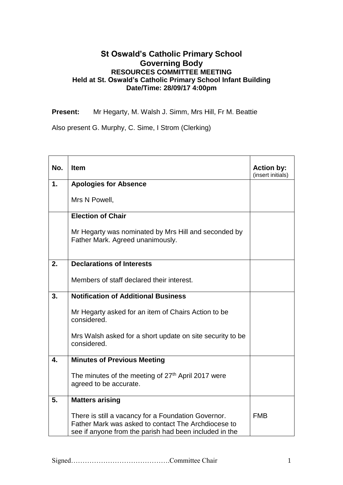## **St Oswald's Catholic Primary School Governing Body RESOURCES COMMITTEE MEETING Held at St. Oswald's Catholic Primary School Infant Building Date/Time: 28/09/17 4:00pm**

**Present:** Mr Hegarty, M. Walsh J. Simm, Mrs Hill, Fr M. Beattie

Also present G. Murphy, C. Sime, I Strom (Clerking)

| No. | <b>Item</b>                                                                                                                                                          | <b>Action by:</b><br>(insert initials) |
|-----|----------------------------------------------------------------------------------------------------------------------------------------------------------------------|----------------------------------------|
| 1.  | <b>Apologies for Absence</b>                                                                                                                                         |                                        |
|     | Mrs N Powell,                                                                                                                                                        |                                        |
|     | <b>Election of Chair</b>                                                                                                                                             |                                        |
|     | Mr Hegarty was nominated by Mrs Hill and seconded by<br>Father Mark. Agreed unanimously.                                                                             |                                        |
| 2.  | <b>Declarations of Interests</b>                                                                                                                                     |                                        |
|     | Members of staff declared their interest.                                                                                                                            |                                        |
| 3.  | <b>Notification of Additional Business</b>                                                                                                                           |                                        |
|     | Mr Hegarty asked for an item of Chairs Action to be<br>considered.                                                                                                   |                                        |
|     | Mrs Walsh asked for a short update on site security to be<br>considered.                                                                                             |                                        |
| 4.  | <b>Minutes of Previous Meeting</b>                                                                                                                                   |                                        |
|     | The minutes of the meeting of 27 <sup>th</sup> April 2017 were<br>agreed to be accurate.                                                                             |                                        |
| 5.  | <b>Matters arising</b>                                                                                                                                               |                                        |
|     | There is still a vacancy for a Foundation Governor.<br>Father Mark was asked to contact The Archdiocese to<br>see if anyone from the parish had been included in the | <b>FMB</b>                             |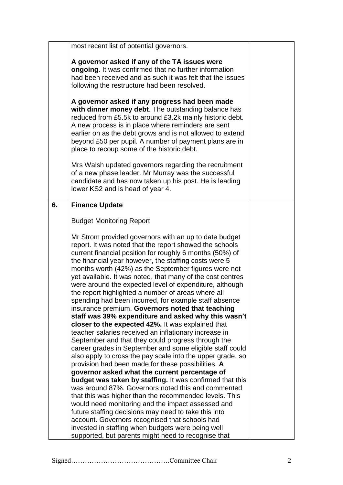|    | most recent list of potential governors.                                                                                                                                                                                                                                                                                                                                                     |  |
|----|----------------------------------------------------------------------------------------------------------------------------------------------------------------------------------------------------------------------------------------------------------------------------------------------------------------------------------------------------------------------------------------------|--|
|    |                                                                                                                                                                                                                                                                                                                                                                                              |  |
|    | A governor asked if any of the TA issues were                                                                                                                                                                                                                                                                                                                                                |  |
|    | ongoing. It was confirmed that no further information                                                                                                                                                                                                                                                                                                                                        |  |
|    | had been received and as such it was felt that the issues                                                                                                                                                                                                                                                                                                                                    |  |
|    | following the restructure had been resolved.                                                                                                                                                                                                                                                                                                                                                 |  |
|    |                                                                                                                                                                                                                                                                                                                                                                                              |  |
|    | A governor asked if any progress had been made<br>with dinner money debt. The outstanding balance has<br>reduced from £5.5k to around £3.2k mainly historic debt.<br>A new process is in place where reminders are sent<br>earlier on as the debt grows and is not allowed to extend<br>beyond £50 per pupil. A number of payment plans are in<br>place to recoup some of the historic debt. |  |
|    | Mrs Walsh updated governors regarding the recruitment<br>of a new phase leader. Mr Murray was the successful<br>candidate and has now taken up his post. He is leading<br>lower KS2 and is head of year 4.                                                                                                                                                                                   |  |
| 6. | <b>Finance Update</b>                                                                                                                                                                                                                                                                                                                                                                        |  |
|    |                                                                                                                                                                                                                                                                                                                                                                                              |  |
|    | <b>Budget Monitoring Report</b>                                                                                                                                                                                                                                                                                                                                                              |  |
|    |                                                                                                                                                                                                                                                                                                                                                                                              |  |
|    | Mr Strom provided governors with an up to date budget                                                                                                                                                                                                                                                                                                                                        |  |
|    | report. It was noted that the report showed the schools<br>current financial position for roughly 6 months (50%) of                                                                                                                                                                                                                                                                          |  |
|    | the financial year however, the staffing costs were 5                                                                                                                                                                                                                                                                                                                                        |  |
|    | months worth (42%) as the September figures were not                                                                                                                                                                                                                                                                                                                                         |  |
|    | yet available. It was noted, that many of the cost centres                                                                                                                                                                                                                                                                                                                                   |  |
|    | were around the expected level of expenditure, although                                                                                                                                                                                                                                                                                                                                      |  |
|    | the report highlighted a number of areas where all                                                                                                                                                                                                                                                                                                                                           |  |
|    | spending had been incurred, for example staff absence                                                                                                                                                                                                                                                                                                                                        |  |
|    | insurance premium. Governors noted that teaching                                                                                                                                                                                                                                                                                                                                             |  |
|    | staff was 39% expenditure and asked why this wasn't                                                                                                                                                                                                                                                                                                                                          |  |
|    | closer to the expected 42%. It was explained that                                                                                                                                                                                                                                                                                                                                            |  |
|    | teacher salaries received an inflationary increase in                                                                                                                                                                                                                                                                                                                                        |  |
|    | September and that they could progress through the                                                                                                                                                                                                                                                                                                                                           |  |
|    | career grades in September and some eligible staff could                                                                                                                                                                                                                                                                                                                                     |  |
|    | also apply to cross the pay scale into the upper grade, so                                                                                                                                                                                                                                                                                                                                   |  |
|    | provision had been made for these possibilities. A<br>governor asked what the current percentage of                                                                                                                                                                                                                                                                                          |  |
|    | budget was taken by staffing. It was confirmed that this                                                                                                                                                                                                                                                                                                                                     |  |
|    | was around 87%. Governors noted this and commented                                                                                                                                                                                                                                                                                                                                           |  |
|    | that this was higher than the recommended levels. This                                                                                                                                                                                                                                                                                                                                       |  |
|    | would need monitoring and the impact assessed and                                                                                                                                                                                                                                                                                                                                            |  |
|    | future staffing decisions may need to take this into                                                                                                                                                                                                                                                                                                                                         |  |
|    | account. Governors recognised that schools had                                                                                                                                                                                                                                                                                                                                               |  |
|    | invested in staffing when budgets were being well                                                                                                                                                                                                                                                                                                                                            |  |
|    | supported, but parents might need to recognise that                                                                                                                                                                                                                                                                                                                                          |  |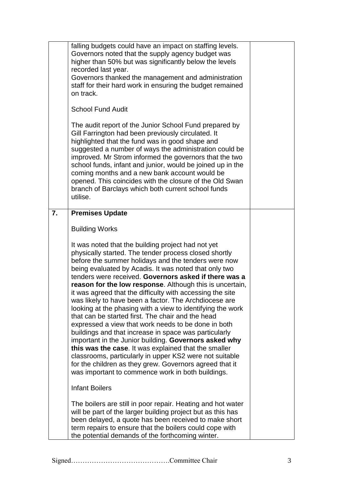|    | falling budgets could have an impact on staffing levels.<br>Governors noted that the supply agency budget was<br>higher than 50% but was significantly below the levels<br>recorded last year.<br>Governors thanked the management and administration<br>staff for their hard work in ensuring the budget remained<br>on track.<br><b>School Fund Audit</b><br>The audit report of the Junior School Fund prepared by<br>Gill Farrington had been previously circulated. It<br>highlighted that the fund was in good shape and<br>suggested a number of ways the administration could be<br>improved. Mr Strom informed the governors that the two<br>school funds, infant and junior, would be joined up in the<br>coming months and a new bank account would be<br>opened. This coincides with the closure of the Old Swan<br>branch of Barclays which both current school funds<br>utilise.                                                                                                                                 |  |
|----|--------------------------------------------------------------------------------------------------------------------------------------------------------------------------------------------------------------------------------------------------------------------------------------------------------------------------------------------------------------------------------------------------------------------------------------------------------------------------------------------------------------------------------------------------------------------------------------------------------------------------------------------------------------------------------------------------------------------------------------------------------------------------------------------------------------------------------------------------------------------------------------------------------------------------------------------------------------------------------------------------------------------------------|--|
| 7. | <b>Premises Update</b>                                                                                                                                                                                                                                                                                                                                                                                                                                                                                                                                                                                                                                                                                                                                                                                                                                                                                                                                                                                                         |  |
|    | <b>Building Works</b>                                                                                                                                                                                                                                                                                                                                                                                                                                                                                                                                                                                                                                                                                                                                                                                                                                                                                                                                                                                                          |  |
|    | It was noted that the building project had not yet<br>physically started. The tender process closed shortly<br>before the summer holidays and the tenders were now<br>being evaluated by Acadis. It was noted that only two<br>tenders were received. Governors asked if there was a<br>reason for the low response. Although this is uncertain,<br>it was agreed that the difficulty with accessing the site<br>was likely to have been a factor. The Archdiocese are<br>looking at the phasing with a view to identifying the work<br>that can be started first. The chair and the head<br>expressed a view that work needs to be done in both<br>buildings and that increase in space was particularly<br>important in the Junior building. Governors asked why<br>this was the case. It was explained that the smaller<br>classrooms, particularly in upper KS2 were not suitable<br>for the children as they grew. Governors agreed that it<br>was important to commence work in both buildings.<br><b>Infant Boilers</b> |  |
|    | The boilers are still in poor repair. Heating and hot water<br>will be part of the larger building project but as this has<br>been delayed, a quote has been received to make short<br>term repairs to ensure that the boilers could cope with<br>the potential demands of the forthcoming winter.                                                                                                                                                                                                                                                                                                                                                                                                                                                                                                                                                                                                                                                                                                                             |  |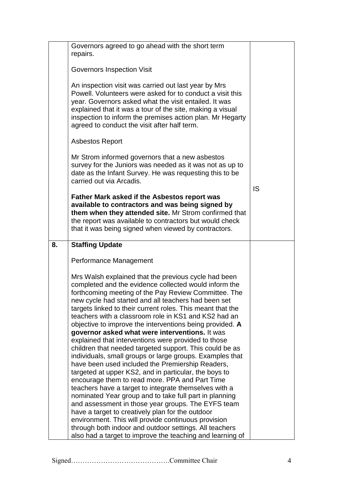|    | Governors agreed to go ahead with the short term<br>repairs.                                                                                                                                                                                                                                                                                                                                                                                                                                                                                                                                                                                                                                                                                                                                                                                                                                                                                                                                                                                                                                                                                                                                                             |    |
|----|--------------------------------------------------------------------------------------------------------------------------------------------------------------------------------------------------------------------------------------------------------------------------------------------------------------------------------------------------------------------------------------------------------------------------------------------------------------------------------------------------------------------------------------------------------------------------------------------------------------------------------------------------------------------------------------------------------------------------------------------------------------------------------------------------------------------------------------------------------------------------------------------------------------------------------------------------------------------------------------------------------------------------------------------------------------------------------------------------------------------------------------------------------------------------------------------------------------------------|----|
|    | <b>Governors Inspection Visit</b>                                                                                                                                                                                                                                                                                                                                                                                                                                                                                                                                                                                                                                                                                                                                                                                                                                                                                                                                                                                                                                                                                                                                                                                        |    |
|    | An inspection visit was carried out last year by Mrs<br>Powell. Volunteers were asked for to conduct a visit this<br>year. Governors asked what the visit entailed. It was<br>explained that it was a tour of the site, making a visual<br>inspection to inform the premises action plan. Mr Hegarty<br>agreed to conduct the visit after half term.                                                                                                                                                                                                                                                                                                                                                                                                                                                                                                                                                                                                                                                                                                                                                                                                                                                                     |    |
|    | <b>Asbestos Report</b>                                                                                                                                                                                                                                                                                                                                                                                                                                                                                                                                                                                                                                                                                                                                                                                                                                                                                                                                                                                                                                                                                                                                                                                                   |    |
|    | Mr Strom informed governors that a new asbestos<br>survey for the Juniors was needed as it was not as up to<br>date as the Infant Survey. He was requesting this to be<br>carried out via Arcadis.                                                                                                                                                                                                                                                                                                                                                                                                                                                                                                                                                                                                                                                                                                                                                                                                                                                                                                                                                                                                                       | IS |
|    | <b>Father Mark asked if the Asbestos report was</b><br>available to contractors and was being signed by<br>them when they attended site. Mr Strom confirmed that<br>the report was available to contractors but would check<br>that it was being signed when viewed by contractors.                                                                                                                                                                                                                                                                                                                                                                                                                                                                                                                                                                                                                                                                                                                                                                                                                                                                                                                                      |    |
| 8. | <b>Staffing Update</b>                                                                                                                                                                                                                                                                                                                                                                                                                                                                                                                                                                                                                                                                                                                                                                                                                                                                                                                                                                                                                                                                                                                                                                                                   |    |
|    | Performance Management                                                                                                                                                                                                                                                                                                                                                                                                                                                                                                                                                                                                                                                                                                                                                                                                                                                                                                                                                                                                                                                                                                                                                                                                   |    |
|    | Mrs Walsh explained that the previous cycle had been<br>completed and the evidence collected would inform the<br>forthcoming meeting of the Pay Review Committee. The<br>new cycle had started and all teachers had been set<br>targets linked to their current roles. This meant that the<br>teachers with a classroom role in KS1 and KS2 had an<br>objective to improve the interventions being provided. A<br>governor asked what were interventions. It was<br>explained that interventions were provided to those<br>children that needed targeted support. This could be as<br>individuals, small groups or large groups. Examples that<br>have been used included the Premiership Readers,<br>targeted at upper KS2, and in particular, the boys to<br>encourage them to read more. PPA and Part Time<br>teachers have a target to integrate themselves with a<br>nominated Year group and to take full part in planning<br>and assessment in those year groups. The EYFS team<br>have a target to creatively plan for the outdoor<br>environment. This will provide continuous provision<br>through both indoor and outdoor settings. All teachers<br>also had a target to improve the teaching and learning of |    |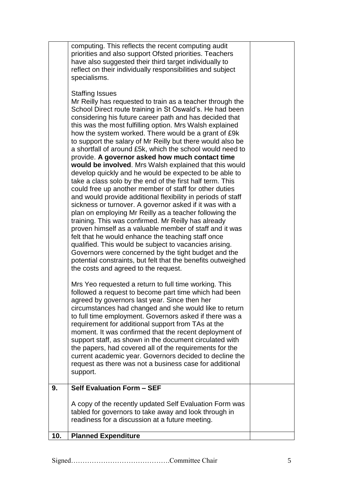|     | computing. This reflects the recent computing audit<br>priorities and also support Ofsted priorities. Teachers<br>have also suggested their third target individually to<br>reflect on their individually responsibilities and subject<br>specialisms.<br><b>Staffing Issues</b><br>Mr Reilly has requested to train as a teacher through the<br>School Direct route training in St Oswald's. He had been<br>considering his future career path and has decided that<br>this was the most fulfilling option. Mrs Walsh explained<br>how the system worked. There would be a grant of £9k<br>to support the salary of Mr Reilly but there would also be<br>a shortfall of around £5k, which the school would need to<br>provide. A governor asked how much contact time<br>would be involved. Mrs Walsh explained that this would<br>develop quickly and he would be expected to be able to<br>take a class solo by the end of the first half term. This<br>could free up another member of staff for other duties<br>and would provide additional flexibility in periods of staff<br>sickness or turnover. A governor asked if it was with a<br>plan on employing Mr Reilly as a teacher following the<br>training. This was confirmed. Mr Reilly has already<br>proven himself as a valuable member of staff and it was<br>felt that he would enhance the teaching staff once<br>qualified. This would be subject to vacancies arising.<br>Governors were concerned by the tight budget and the<br>potential constraints, but felt that the benefits outweighed<br>the costs and agreed to the request.<br>Mrs Yeo requested a return to full time working. This<br>followed a request to become part time which had been<br>agreed by governors last year. Since then her<br>circumstances had changed and she would like to return<br>to full time employment. Governors asked if there was a<br>requirement for additional support from TAs at the<br>moment. It was confirmed that the recent deployment of<br>support staff, as shown in the document circulated with<br>the papers, had covered all of the requirements for the<br>current academic year. Governors decided to decline the<br>request as there was not a business case for additional<br>support. |  |
|-----|--------------------------------------------------------------------------------------------------------------------------------------------------------------------------------------------------------------------------------------------------------------------------------------------------------------------------------------------------------------------------------------------------------------------------------------------------------------------------------------------------------------------------------------------------------------------------------------------------------------------------------------------------------------------------------------------------------------------------------------------------------------------------------------------------------------------------------------------------------------------------------------------------------------------------------------------------------------------------------------------------------------------------------------------------------------------------------------------------------------------------------------------------------------------------------------------------------------------------------------------------------------------------------------------------------------------------------------------------------------------------------------------------------------------------------------------------------------------------------------------------------------------------------------------------------------------------------------------------------------------------------------------------------------------------------------------------------------------------------------------------------------------------------------------------------------------------------------------------------------------------------------------------------------------------------------------------------------------------------------------------------------------------------------------------------------------------------------------------------------------------------------------------------------------------------------------------------------------------------------------------------------------------|--|
| 9.  | Self Evaluation Form - SEF                                                                                                                                                                                                                                                                                                                                                                                                                                                                                                                                                                                                                                                                                                                                                                                                                                                                                                                                                                                                                                                                                                                                                                                                                                                                                                                                                                                                                                                                                                                                                                                                                                                                                                                                                                                                                                                                                                                                                                                                                                                                                                                                                                                                                                               |  |
|     | A copy of the recently updated Self Evaluation Form was<br>tabled for governors to take away and look through in<br>readiness for a discussion at a future meeting.                                                                                                                                                                                                                                                                                                                                                                                                                                                                                                                                                                                                                                                                                                                                                                                                                                                                                                                                                                                                                                                                                                                                                                                                                                                                                                                                                                                                                                                                                                                                                                                                                                                                                                                                                                                                                                                                                                                                                                                                                                                                                                      |  |
| 10. | <b>Planned Expenditure</b>                                                                                                                                                                                                                                                                                                                                                                                                                                                                                                                                                                                                                                                                                                                                                                                                                                                                                                                                                                                                                                                                                                                                                                                                                                                                                                                                                                                                                                                                                                                                                                                                                                                                                                                                                                                                                                                                                                                                                                                                                                                                                                                                                                                                                                               |  |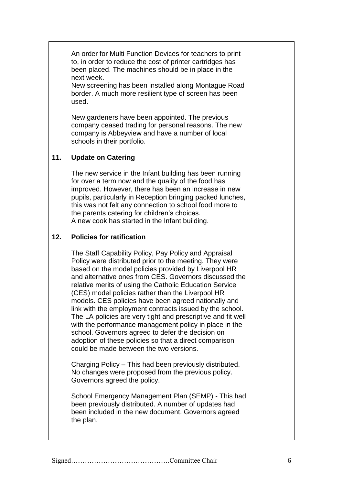|     | An order for Multi Function Devices for teachers to print<br>to, in order to reduce the cost of printer cartridges has<br>been placed. The machines should be in place in the<br>next week.<br>New screening has been installed along Montague Road<br>border. A much more resilient type of screen has been<br>used.<br>New gardeners have been appointed. The previous<br>company ceased trading for personal reasons. The new<br>company is Abbeyview and have a number of local<br>schools in their portfolio. |  |
|-----|--------------------------------------------------------------------------------------------------------------------------------------------------------------------------------------------------------------------------------------------------------------------------------------------------------------------------------------------------------------------------------------------------------------------------------------------------------------------------------------------------------------------|--|
| 11. | <b>Update on Catering</b>                                                                                                                                                                                                                                                                                                                                                                                                                                                                                          |  |
|     | The new service in the Infant building has been running<br>for over a term now and the quality of the food has<br>improved. However, there has been an increase in new<br>pupils, particularly in Reception bringing packed lunches,<br>this was not felt any connection to school food more to<br>the parents catering for children's choices.<br>A new cook has started in the Infant building.                                                                                                                  |  |
| 12. | <b>Policies for ratification</b>                                                                                                                                                                                                                                                                                                                                                                                                                                                                                   |  |
|     | The Staff Capability Policy, Pay Policy and Appraisal<br>Policy were distributed prior to the meeting. They were<br>based on the model policies provided by Liverpool HR<br>and alternative ones from CES. Governors discussed the<br>relative merits of using the Catholic Education Service<br>(CES) model policies rather than the Liverpool HR<br>models. CES policies have been agreed nationally and<br>link with the employment contracts issued by the school.                                             |  |
|     | The LA policies are very tight and prescriptive and fit well<br>with the performance management policy in place in the<br>school. Governors agreed to defer the decision on<br>adoption of these policies so that a direct comparison<br>could be made between the two versions.                                                                                                                                                                                                                                   |  |
|     | Charging Policy – This had been previously distributed.<br>No changes were proposed from the previous policy.<br>Governors agreed the policy.                                                                                                                                                                                                                                                                                                                                                                      |  |
|     | School Emergency Management Plan (SEMP) - This had<br>been previously distributed. A number of updates had<br>been included in the new document. Governors agreed<br>the plan.                                                                                                                                                                                                                                                                                                                                     |  |